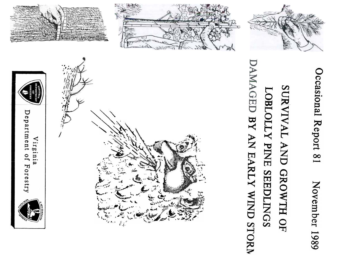

Occasional Report 81

# AMAGED BY AN EARLY WIND STORM SURVIVAL AND GROWTH OF LOBLOLLY PINE SEEDLINGS









Department Virgini  $\overline{10}$ Forestry

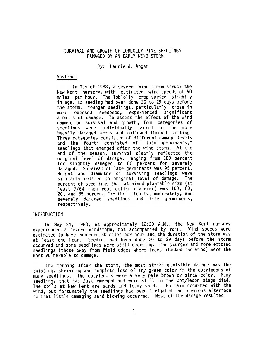### SURVIVAL AND GROWTH OF LOBLOLLy PINE SEEDLINGS DAMAGED BY AN EARLY WIND STORM

# By: Laurie J. Apgar

### Abstract

In May of 1988, a severe wind storm struck the New Kent nursery, with estimated wind speeds of 50 miles per hour. The loblolly crop varied slightly in age, as seeding had been done 20 to 29 days before the storm. Younger seedlings, particularly those in more exposed seedbeds, experienced significant amounts of damage. To assess the effect of the wir damage on survival and growth, four categories of seedlings were individually marked in the more heavily damaged areas and followed through lifting. Three categories consisted of different damage levels and the fourth consisted of "late germinants," seedlings that emerged after the wind storm. At the end of the season, survival clearly reflected the original level of damage, ranging from lOO percent for slightly damaged to 80 percent for severely damaged. Survival of late germinants was 95 percent. Height and diameter of surviving seedlings wer similarly related to original level of damage. The percent of seedlings that attained plantable size (at least 7/64 inch root collar diameter) was lOO, 80, 20, and 85 percent for the slightly, moderately, and severely damaged seedlings and late germinants, respectively.

## INTRODUCTION

On May 24, 1988, at approximately 12:30 A.M., the New Kent nursery experienced a severe windstorm, not accompanied by rain. Wind speeds were estimated to have exceeded 50 miles per hour and the duration of the storm was at least one hour. Seeding had been done 20 to 29 days before the storm occurred and some seedlings were still emerging. The younger and more exposed seedlings (those away from field edges where trees blocked the wind) were the most vulnerable to damage.

The morning after the storm, the most striking visible damage was the twisting, shrinking and complete loss of any green color in the cotyledons of many seedlings. The cotyledons were a very pale brown or straw color. Many seedlings that had just emerged and were still in the cotyledon stage died. The soils at New Kent are sands and loamy sands. No rain occurred with the wind, but fortunately the seedlings had been irrigated the previous afternoon so that little damaging sand blowing occurred. Most of the damage resulted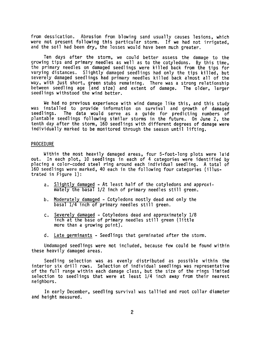from dessication. Abrasion from blowing sand usually causes lesions, which were not present following this particular storm. If we had not irrigated, and the soil had been dry, the losses would have been much greater.

Ten days after the storm, we could better assess the damage to the growing tips and primary needles as well as to the cotyledons. By this time, the primary needles on damaged seedlings were killed back from the tips for varying distances. Slightly damaged seedlings had only the tips killed, but severely damaged seedlings had primary needles killed back almost all of the way, with just short, green stubs remaining. There was a strong relatio between seedling age (and size) and extent of damage. The older, larger seedlings withstood the wind better.

We had no previous experience with wind damage like this, and this study was installed to provide information on survival and growth of damaged seedlings. The data would serve as a guide for predicting numbers of plantable seedlings following similar storms in the future. On June 2, the tenth day after the storm, 160 seedlings with different degrees of damage were individually marked to be monitored through the season until lifting.

### PROCEDURE

Within the most heavily damaged areas, four 5-foot-long plots were laid out. In each plot, 10 seedlings in each of 4 categories were identified by placing a color-coded steel ring around each individual seedling. A total of 160 seedlings were marked, 40 each in the following four categories (illustrated in Figure 1):

- a. <u>Slightly damaged</u> At least half of the cotyledons and appro mately the basal 1/2 inch of primary needles still green.
- b. Moderately damaged Cotyledons mostly dead and only the basal 1/4 inch of primary needles still green.
- Severely damaged Cotyledons dead and approximately 1/8 inch at the base of primary needles still green (little more than a growing point), c.
- d. Late germinants -Seedlings that germinated after the storm.

Undamaged seedlings were not included, because few could be found within these heavily damaged areas.

Seedling selection was as evenly distributed as possible within the interior six drill rows. Selection of individual seedlings was representative of the full range within each damage class, but the size of the rings limited selection to seedlings that were at least 1/4 inch away from their nearest neighbors.

In early December, seedling survival was tallied and root collar diameter and height measured.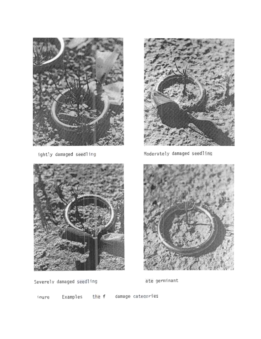

ightly damaged seedling





Moderately damaged seedling



Severely damaged seedling

ate germinant

ioure

Examples the f damage categories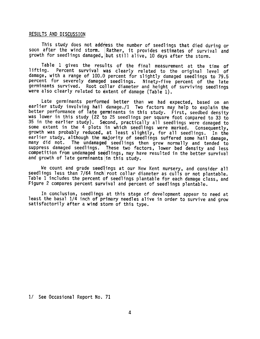### RESULTS AND DISCUSSION

This study does not address the number of seedlings that died during or soon after the wind storm. Rather, it provides estimates of survival and growth for seedlings damaged, but still alive, 10 days after the storm.

Table 1 gives the results of the final measurement at the time of lifting. Percent survival was clearly related to the original level of damage, with a range of 100.0 percent for slightly damaged seedlings to 79.5 percent for severely damaged seedlings. Ninety-five percent of the late germinants survived. Root collar diameter and height of surviving seedli were also clearly related to extent of damage (Table 1).

Late germinants performed better than we had expected, based on an earlier study involving hail damage./1 Two factors may help to explain the better performance of late germinants in this study. First, seedbed density was lower in this study (22 to 25 seedlings per square foot compared to 33 to 35 in the earlier study). Second, practically all seedlings were damaged to some extent in the 4 plots in which seedlings were marked. Consequently, growth was probably reduced, at least slightly, for all seedlings. In the earlier study, although the majority of seedlings suffered some hail damage, many did not. The undamaged seedlings then grew normally and tended to suppress damaged seedlings. These two factors, lower bed density and less competition from undamaged seedlings, may have resulted in the better survival and growth of late germinants lin this study.

We count and grade seedlings at our New Kent nursery, and consider all seedlings less than 7/64 inch root collar diameter as culls or not plantable. Table 1 includes the percent of seedlings plantable for each damage class, and Figure 2 compares percent survival and percent of seedlings plantable.

In conclusion, seedlings at this stage of development appear to need at least the basal 1/4 inch of primary needles alive in order to survive and grow satisfactorily after a wind storm of this type.

1/ See Occasional Report No.71